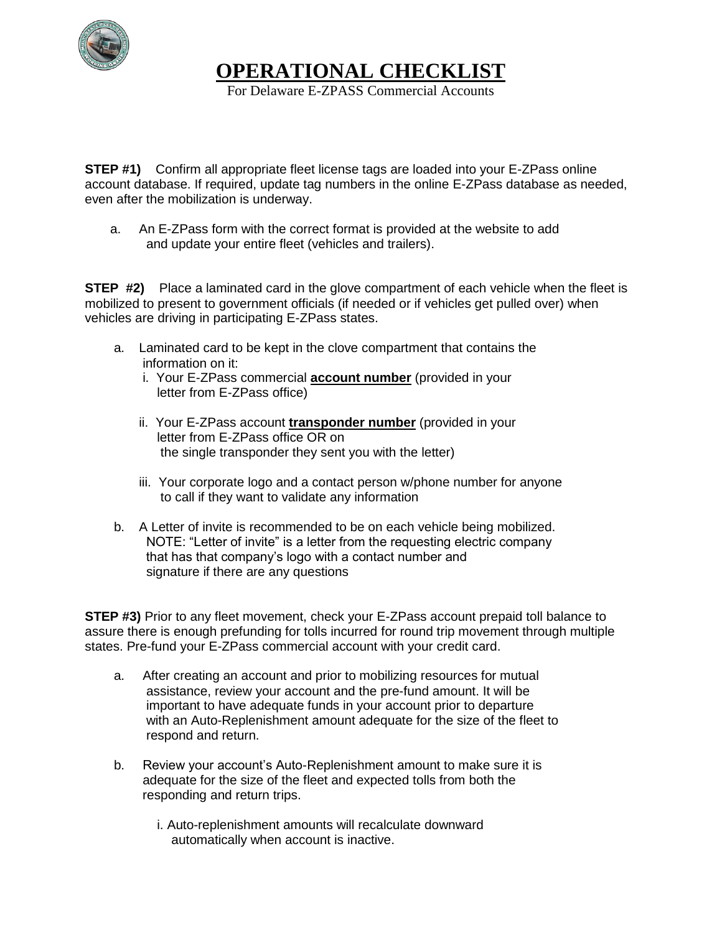

**OPERATIONAL CHECKLIST** 

For Delaware E-ZPASS Commercial Accounts

**STEP #1)** Confirm all appropriate fleet license tags are loaded into your E-ZPass online account database. If required, update tag numbers in the online E-ZPass database as needed, even after the mobilization is underway.

 a. An E-ZPass form with the correct format is provided at the website to add and update your entire fleet (vehicles and trailers).

**STEP #2)** Place a laminated card in the glove compartment of each vehicle when the fleet is mobilized to present to government officials (if needed or if vehicles get pulled over) when vehicles are driving in participating E-ZPass states.

- a. Laminated card to be kept in the clove compartment that contains the information on it:
	- i. Your E-ZPass commercial **account number** (provided in your letter from E-ZPass office)
	- ii. Your E-ZPass account **transponder number** (provided in your letter from E-ZPass office OR on the single transponder they sent you with the letter)
	- iii. Your corporate logo and a contact person w/phone number for anyone to call if they want to validate any information
- b. A Letter of invite is recommended to be on each vehicle being mobilized. NOTE: "Letter of invite" is a letter from the requesting electric company that has that company's logo with a contact number and signature if there are any questions

**STEP #3)** Prior to any fleet movement, check your E-ZPass account prepaid toll balance to assure there is enough prefunding for tolls incurred for round trip movement through multiple states. Pre-fund your E-ZPass commercial account with your credit card.

- a. After creating an account and prior to mobilizing resources for mutual assistance, review your account and the pre-fund amount. It will be important to have adequate funds in your account prior to departure with an Auto-Replenishment amount adequate for the size of the fleet to respond and return.
- b. Review your account's Auto-Replenishment amount to make sure it is adequate for the size of the fleet and expected tolls from both the responding and return trips.
	- i. Auto-replenishment amounts will recalculate downward automatically when account is inactive.